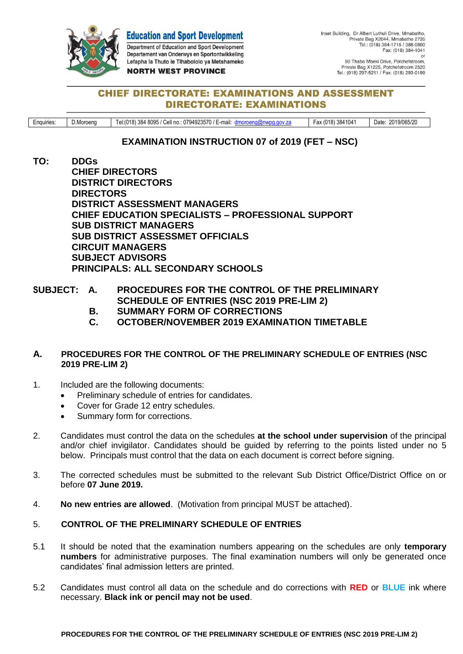**Education and Sport Development** Department of Education and Sport Development Departement van Onderwys en Sportontwikkeling Lefapha la Thuto le Tlhabololo ya Metshameko **NORTH WEST PROVINCE** 

## **CHIEF DIRECTORATE: EXAMINATIONS AND ASSESSMENT DIRECTORATE: EXAMINATIONS**

Enquiries: D.Moroeng | Tel:(018) 384 8095 / Cell no.: 0794923570 / E-mail: [dmoroeng@nwpg.gov.za](mailto:dmoroeng@nwpg.gov.za) | Fax (018) 3841041 | Date: 2019/065/20

# **EXAMINATION INSTRUCTION 07 of 2019 (FET – NSC)**

- **TO: DDGs CHIEF DIRECTORS DISTRICT DIRECTORS DIRECTORS DISTRICT ASSESSMENT MANAGERS CHIEF EDUCATION SPECIALISTS – PROFESSIONAL SUPPORT SUB DISTRICT MANAGERS SUB DISTRICT ASSESSMET OFFICIALS CIRCUIT MANAGERS SUBJECT ADVISORS PRINCIPALS: ALL SECONDARY SCHOOLS**
- **SUBJECT: A. PROCEDURES FOR THE CONTROL OF THE PRELIMINARY SCHEDULE OF ENTRIES (NSC 2019 PRE-LIM 2)**
	- **B. SUMMARY FORM OF CORRECTIONS**
	- **C. OCTOBER/NOVEMBER 2019 EXAMINATION TIMETABLE**

### **A. PROCEDURES FOR THE CONTROL OF THE PRELIMINARY SCHEDULE OF ENTRIES (NSC 2019 PRE-LIM 2)**

- 1. Included are the following documents:
	- Preliminary schedule of entries for candidates.
	- Cover for Grade 12 entry schedules.
	- Summary form for corrections.
- 2. Candidates must control the data on the schedules **at the school under supervision** of the principal and/or chief invigilator. Candidates should be guided by referring to the points listed under no 5 below. Principals must control that the data on each document is correct before signing.
- 3. The corrected schedules must be submitted to the relevant Sub District Office/District Office on or before **07 June 2019.**
- 4. **No new entries are allowed**. (Motivation from principal MUST be attached).

## 5. **CONTROL OF THE PRELIMINARY SCHEDULE OF ENTRIES**

- 5.1 It should be noted that the examination numbers appearing on the schedules are only **temporary numbers** for administrative purposes. The final examination numbers will only be generated once candidates' final admission letters are printed.
- 5.2 Candidates must control all data on the schedule and do corrections with **RED** or **BLUE** ink where necessary. **Black ink or pencil may not be used**.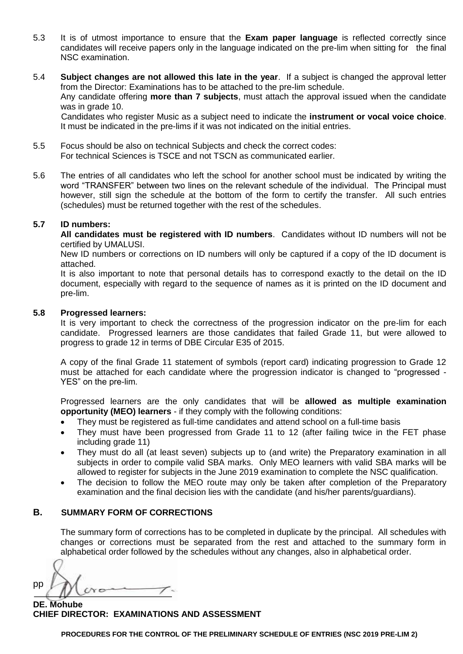- 5.3 It is of utmost importance to ensure that the **Exam paper language** is reflected correctly since candidates will receive papers only in the language indicated on the pre-lim when sitting for the final NSC examination.
- 5.4 **Subject changes are not allowed this late in the year**. If a subject is changed the approval letter from the Director: Examinations has to be attached to the pre-lim schedule. Any candidate offering **more than 7 subjects**, must attach the approval issued when the candidate was in grade 10. Candidates who register Music as a subject need to indicate the **instrument or vocal voice choice**. It must be indicated in the pre-lims if it was not indicated on the initial entries.
- 5.5 Focus should be also on technical Subjects and check the correct codes: For technical Sciences is TSCE and not TSCN as communicated earlier.
- 5.6 The entries of all candidates who left the school for another school must be indicated by writing the word "TRANSFER" between two lines on the relevant schedule of the individual. The Principal must however, still sign the schedule at the bottom of the form to certify the transfer. All such entries (schedules) must be returned together with the rest of the schedules.

#### **5.7 ID numbers:**

**All candidates must be registered with ID numbers**. Candidates without ID numbers will not be certified by UMALUSI.

New ID numbers or corrections on ID numbers will only be captured if a copy of the ID document is attached.

It is also important to note that personal details has to correspond exactly to the detail on the ID document, especially with regard to the sequence of names as it is printed on the ID document and pre-lim.

### **5.8 Progressed learners:**

It is very important to check the correctness of the progression indicator on the pre-lim for each candidate. Progressed learners are those candidates that failed Grade 11, but were allowed to progress to grade 12 in terms of DBE Circular E35 of 2015.

A copy of the final Grade 11 statement of symbols (report card) indicating progression to Grade 12 must be attached for each candidate where the progression indicator is changed to "progressed - YES" on the pre-lim.

Progressed learners are the only candidates that will be **allowed as multiple examination opportunity (MEO) learners** - if they comply with the following conditions:

- They must be registered as full-time candidates and attend school on a full-time basis
- They must have been progressed from Grade 11 to 12 (after failing twice in the FET phase including grade 11)
- They must do all (at least seven) subjects up to (and write) the Preparatory examination in all subjects in order to compile valid SBA marks. Only MEO learners with valid SBA marks will be allowed to register for subjects in the June 2019 examination to complete the NSC qualification.
- The decision to follow the MEO route may only be taken after completion of the Preparatory examination and the final decision lies with the candidate (and his/her parents/guardians).

### **B. SUMMARY FORM OF CORRECTIONS**

The summary form of corrections has to be completed in duplicate by the principal. All schedules with changes or corrections must be separated from the rest and attached to the summary form in alphabetical order followed by the schedules without any changes, also in alphabetical order.

pp YΘ

**DE. Mohube CHIEF DIRECTOR: EXAMINATIONS AND ASSESSMENT**

**PROCEDURES FOR THE CONTROL OF THE PRELIMINARY SCHEDULE OF ENTRIES (NSC 2019 PRE-LIM 2)**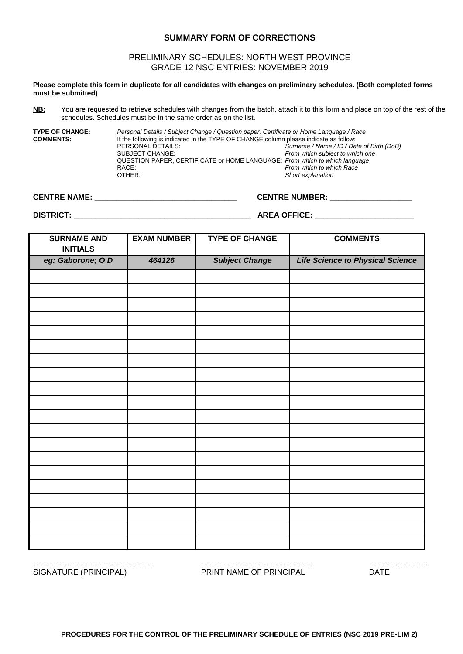#### **SUMMARY FORM OF CORRECTIONS**

#### PRELIMINARY SCHEDULES: NORTH WEST PROVINCE GRADE 12 NSC ENTRIES: NOVEMBER 2019

**Please complete this form in duplicate for all candidates with changes on preliminary schedules. (Both completed forms must be submitted)**

**NB:** You are requested to retrieve schedules with changes from the batch, attach it to this form and place on top of the rest of the schedules. Schedules must be in the same order as on the list.

**TYPE OF CHANGE:** *Personal Details / Subject Change / Question paper, Certificate or Home Language / Race*<br>**COMMENTS:** If the following is indicated in the TYPE OF CHANGE column please indicate as follow: If the following is indicated in the TYPE OF CHANGE column please indicate as follow:<br>PERSONAL DETAILS: Surname / Name / ID / Da PERSONAL DETAILS: *Surname / Name / ID / Date of Birth (DoB)* From which subject to which one QUESTION PAPER, CERTIFICATE or HOME LANGUAGE: *From which to which language* RACE: *From which to which Race* Short explanation

**CENTRE NAME: \_\_\_\_\_\_\_\_\_\_\_\_\_\_\_\_\_\_\_\_\_\_\_\_\_\_\_\_\_\_\_\_\_ CENTRE NUMBER: \_\_\_\_\_\_\_\_\_\_\_\_\_\_\_\_\_\_\_** 

**DISTRICT: \_\_\_\_\_\_\_\_\_\_\_\_\_\_\_\_\_\_\_\_\_\_\_\_\_\_\_\_\_\_\_\_\_\_\_\_\_\_\_\_\_ AREA OFFICE: \_\_\_\_\_\_\_\_\_\_\_\_\_\_\_\_\_\_\_\_\_\_\_**

| <b>SURNAME AND</b><br><b>INITIALS</b> | <b>EXAM NUMBER</b> | <b>TYPE OF CHANGE</b> | <b>COMMENTS</b>                         |
|---------------------------------------|--------------------|-----------------------|-----------------------------------------|
| eg: Gaborone; OD                      | 464126             | <b>Subject Change</b> | <b>Life Science to Physical Science</b> |
|                                       |                    |                       |                                         |
|                                       |                    |                       |                                         |
|                                       |                    |                       |                                         |
|                                       |                    |                       |                                         |
|                                       |                    |                       |                                         |
|                                       |                    |                       |                                         |
|                                       |                    |                       |                                         |
|                                       |                    |                       |                                         |
|                                       |                    |                       |                                         |
|                                       |                    |                       |                                         |
|                                       |                    |                       |                                         |
|                                       |                    |                       |                                         |
|                                       |                    |                       |                                         |
|                                       |                    |                       |                                         |
|                                       |                    |                       |                                         |
|                                       |                    |                       |                                         |
|                                       |                    |                       |                                         |
|                                       |                    |                       |                                         |
|                                       |                    |                       |                                         |
|                                       |                    |                       |                                         |

*……………………………………….. ………………………...………….. …………………..* SIGNATURE (PRINCIPAL) PRINT NAME OF PRINCIPAL DATE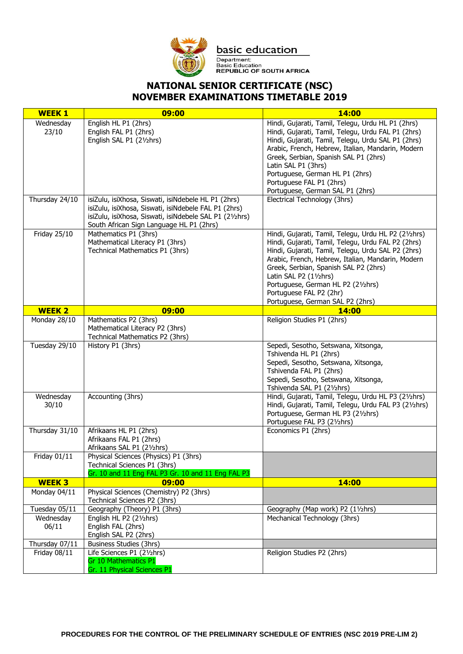

basic education

Department:<br>Basic Education<br>REPUBLIC OF SOUTH AFRICA

# **NATIONAL SENIOR CERTIFICATE (NSC) NOVEMBER EXAMINATIONS TIMETABLE 2019**

| <b>WEEK1</b>        | 09:00                                                                                                                                                                                                              | 14:00                                                                                                                                                                                                                                                                                                                                                                                         |
|---------------------|--------------------------------------------------------------------------------------------------------------------------------------------------------------------------------------------------------------------|-----------------------------------------------------------------------------------------------------------------------------------------------------------------------------------------------------------------------------------------------------------------------------------------------------------------------------------------------------------------------------------------------|
| Wednesday<br>23/10  | English HL P1 (2hrs)<br>English FAL P1 (2hrs)<br>English SAL P1 (21/2hrs)                                                                                                                                          | Hindi, Gujarati, Tamil, Telegu, Urdu HL P1 (2hrs)<br>Hindi, Gujarati, Tamil, Telegu, Urdu FAL P1 (2hrs)<br>Hindi, Gujarati, Tamil, Telegu, Urdu SAL P1 (2hrs)<br>Arabic, French, Hebrew, Italian, Mandarin, Modern<br>Greek, Serbian, Spanish SAL P1 (2hrs)<br>Latin SAL P1 (3hrs)<br>Portuguese, German HL P1 (2hrs)<br>Portuguese FAL P1 (2hrs)<br>Portuguese, German SAL P1 (2hrs)         |
| Thursday 24/10      | isiZulu, isiXhosa, Siswati, isiNdebele HL P1 (2hrs)<br>isiZulu, isiXhosa, Siswati, isiNdebele FAL P1 (2hrs)<br>isiZulu, isiXhosa, Siswati, isiNdebele SAL P1 (21/2hrs)<br>South African Sign Language HL P1 (2hrs) | Electrical Technology (3hrs)                                                                                                                                                                                                                                                                                                                                                                  |
| <b>Friday 25/10</b> | Mathematics P1 (3hrs)<br>Mathematical Literacy P1 (3hrs)<br>Technical Mathematics P1 (3hrs)                                                                                                                        | Hindi, Gujarati, Tamil, Telegu, Urdu HL P2 (21/2hrs)<br>Hindi, Gujarati, Tamil, Telegu, Urdu FAL P2 (2hrs)<br>Hindi, Gujarati, Tamil, Telegu, Urdu SAL P2 (2hrs)<br>Arabic, French, Hebrew, Italian, Mandarin, Modern<br>Greek, Serbian, Spanish SAL P2 (2hrs)<br>Latin SAL P2 (11/2hrs)<br>Portuguese, German HL P2 (21/2hrs)<br>Portuguese FAL P2 (2hr)<br>Portuguese, German SAL P2 (2hrs) |
| <b>WEEK 2</b>       | 09:00                                                                                                                                                                                                              | <b>14:00</b>                                                                                                                                                                                                                                                                                                                                                                                  |
| Monday 28/10        | Mathematics P2 (3hrs)<br>Mathematical Literacy P2 (3hrs)<br>Technical Mathematics P2 (3hrs)                                                                                                                        | Religion Studies P1 (2hrs)                                                                                                                                                                                                                                                                                                                                                                    |
| Tuesday 29/10       | History P1 (3hrs)                                                                                                                                                                                                  | Sepedi, Sesotho, Setswana, Xitsonga,<br>Tshivenda HL P1 (2hrs)<br>Sepedi, Sesotho, Setswana, Xitsonga,<br>Tshivenda FAL P1 (2hrs)<br>Sepedi, Sesotho, Setswana, Xitsonga,<br>Tshivenda SAL P1 (21/2hrs)                                                                                                                                                                                       |
| Wednesday<br>30/10  | Accounting (3hrs)                                                                                                                                                                                                  | Hindi, Gujarati, Tamil, Telegu, Urdu HL P3 (21/2hrs)<br>Hindi, Gujarati, Tamil, Telegu, Urdu FAL P3 (21/2hrs)<br>Portuguese, German HL P3 (21/2hrs)<br>Portuguese FAL P3 (21/2hrs)                                                                                                                                                                                                            |
| Thursday $31/10$    | Afrikaans HL P1 (2hrs)<br>Afrikaans FAL P1 (2hrs)<br>Afrikaans SAL P1 (21/2hrs)                                                                                                                                    | Economics P1 (2hrs)                                                                                                                                                                                                                                                                                                                                                                           |
| Friday 01/11        | Physical Sciences (Physics) P1 (3hrs)<br>Technical Sciences P1 (3hrs)<br>Gr. 10 and 11 Eng FAL P3 Gr. 10 and 11 Eng FAL P3                                                                                         |                                                                                                                                                                                                                                                                                                                                                                                               |
| <b>WEEK3</b>        | 09:00                                                                                                                                                                                                              | 14:00                                                                                                                                                                                                                                                                                                                                                                                         |
| Monday 04/11        | Physical Sciences (Chemistry) P2 (3hrs)<br>Technical Sciences P2 (3hrs)                                                                                                                                            |                                                                                                                                                                                                                                                                                                                                                                                               |
| Tuesday 05/11       | Geography (Theory) P1 (3hrs)                                                                                                                                                                                       | Geography (Map work) P2 (11/2hrs)                                                                                                                                                                                                                                                                                                                                                             |
| Wednesday<br>06/11  | English HL P2 (21/2hrs)<br>English FAL (2hrs)<br>English SAL P2 (2hrs)                                                                                                                                             | Mechanical Technology (3hrs)                                                                                                                                                                                                                                                                                                                                                                  |
| Thursday 07/11      | Business Studies (3hrs)                                                                                                                                                                                            |                                                                                                                                                                                                                                                                                                                                                                                               |
| Friday 08/11        | Life Sciences P1 (21/2hrs)<br>Gr 10 Mathematics P1<br>Gr. 11 Physical Sciences P1                                                                                                                                  | Religion Studies P2 (2hrs)                                                                                                                                                                                                                                                                                                                                                                    |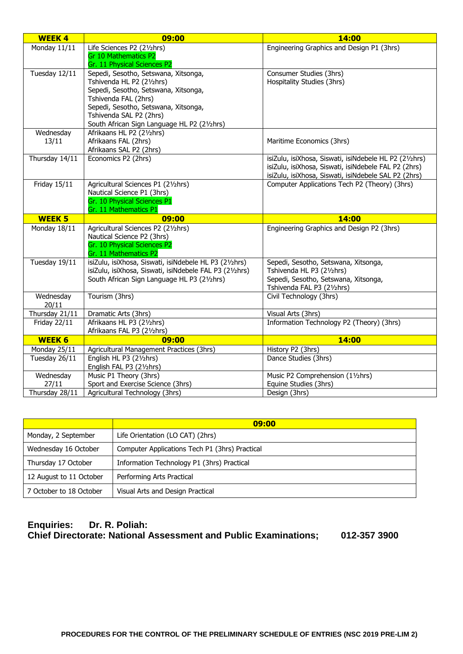| <b>WEEK4</b>              | 09:00                                                               | 14:00                                                  |
|---------------------------|---------------------------------------------------------------------|--------------------------------------------------------|
| Monday 11/11              | Life Sciences P2 (21/2hrs)                                          | Engineering Graphics and Design P1 (3hrs)              |
|                           | <b>Gr 10 Mathematics P2</b><br>Gr. 11 Physical Sciences P2          |                                                        |
| Tuesday 12/11             | Sepedi, Sesotho, Setswana, Xitsonga,                                | Consumer Studies (3hrs)                                |
|                           | Tshivenda HL P2 (21/2hrs)                                           | Hospitality Studies (3hrs)                             |
|                           | Sepedi, Sesotho, Setswana, Xitsonga,                                |                                                        |
|                           | Tshivenda FAL (2hrs)                                                |                                                        |
|                           | Sepedi, Sesotho, Setswana, Xitsonga,                                |                                                        |
|                           | Tshivenda SAL P2 (2hrs)                                             |                                                        |
|                           | South African Sign Language HL P2 (21/2hrs)                         |                                                        |
| Wednesday                 | Afrikaans HL P2 (21/2hrs)                                           |                                                        |
| 13/11                     | Afrikaans FAL (2hrs)                                                | Maritime Economics (3hrs)                              |
| Thursday 14/11            | Afrikaans SAL P2 (2hrs)<br>Economics P2 (2hrs)                      | isiZulu, isiXhosa, Siswati, isiNdebele HL P2 (21/2hrs) |
|                           |                                                                     | isiZulu, isiXhosa, Siswati, isiNdebele FAL P2 (2hrs)   |
|                           |                                                                     | isiZulu, isiXhosa, Siswati, isiNdebele SAL P2 (2hrs)   |
| <b>Friday 15/11</b>       | Agricultural Sciences P1 (21/2hrs)                                  | Computer Applications Tech P2 (Theory) (3hrs)          |
|                           | Nautical Science P1 (3hrs)                                          |                                                        |
|                           | Gr. 10 Physical Sciences P1                                         |                                                        |
|                           | Gr. 11 Mathematics P1                                               |                                                        |
|                           |                                                                     |                                                        |
| <b>WEEK 5</b>             | 09:00                                                               | 14:00                                                  |
| Monday 18/11              | Agricultural Sciences P2 (21/2hrs)                                  | Engineering Graphics and Design P2 (3hrs)              |
|                           | Nautical Science P2 (3hrs)                                          |                                                        |
|                           | Gr. 10 Physical Sciences P2                                         |                                                        |
|                           | Gr. 11 Mathematics P2                                               |                                                        |
| Tuesday 19/11             | isiZulu, isiXhosa, Siswati, isiNdebele HL P3 (21/2hrs)              | Sepedi, Sesotho, Setswana, Xitsonga,                   |
|                           | isiZulu, isiXhosa, Siswati, isiNdebele FAL P3 (21/2hrs)             | Tshivenda HL P3 (21/2hrs)                              |
|                           | South African Sign Language HL P3 (21/2hrs)                         | Sepedi, Sesotho, Setswana, Xitsonga,                   |
| Wednesday                 | Tourism (3hrs)                                                      | Tshivenda FAL P3 (21/2hrs)<br>Civil Technology (3hrs)  |
| 20/11                     |                                                                     |                                                        |
| Thursday 21/11            | Dramatic Arts (3hrs)                                                | Visual Arts (3hrs)                                     |
| Friday $22/\overline{11}$ | Afrikaans HL P3 (21/2hrs)                                           | Information Technology P2 (Theory) (3hrs)              |
|                           | Afrikaans FAL P3 (21/2hrs)                                          |                                                        |
| <b>WEEK 6</b>             | 09:00                                                               | 14:00                                                  |
| Monday 25/11              | Agricultural Management Practices (3hrs)                            | History P2 (3hrs)                                      |
| Tuesday 26/11             | English HL P3 (21/2hrs)                                             | Dance Studies (3hrs)                                   |
|                           | English FAL P3 (21/2hrs)                                            |                                                        |
| Wednesday                 | Music P1 Theory (3hrs)                                              | Music P2 Comprehension (11/2hrs)                       |
| 27/11<br>Thursday 28/11   | Sport and Exercise Science (3hrs)<br>Agricultural Technology (3hrs) | Equine Studies (3hrs)<br>Design (3hrs)                 |

|                         | 09:00                                          |
|-------------------------|------------------------------------------------|
| Monday, 2 September     | Life Orientation (LO CAT) (2hrs)               |
| Wednesday 16 October    | Computer Applications Tech P1 (3hrs) Practical |
| Thursday 17 October     | Information Technology P1 (3hrs) Practical     |
| 12 August to 11 October | Performing Arts Practical                      |
| 7 October to 18 October | Visual Arts and Design Practical               |

# **Enquiries: Dr. R. Poliah: Chief Directorate: National Assessment and Public Examinations; 012-357 3900**